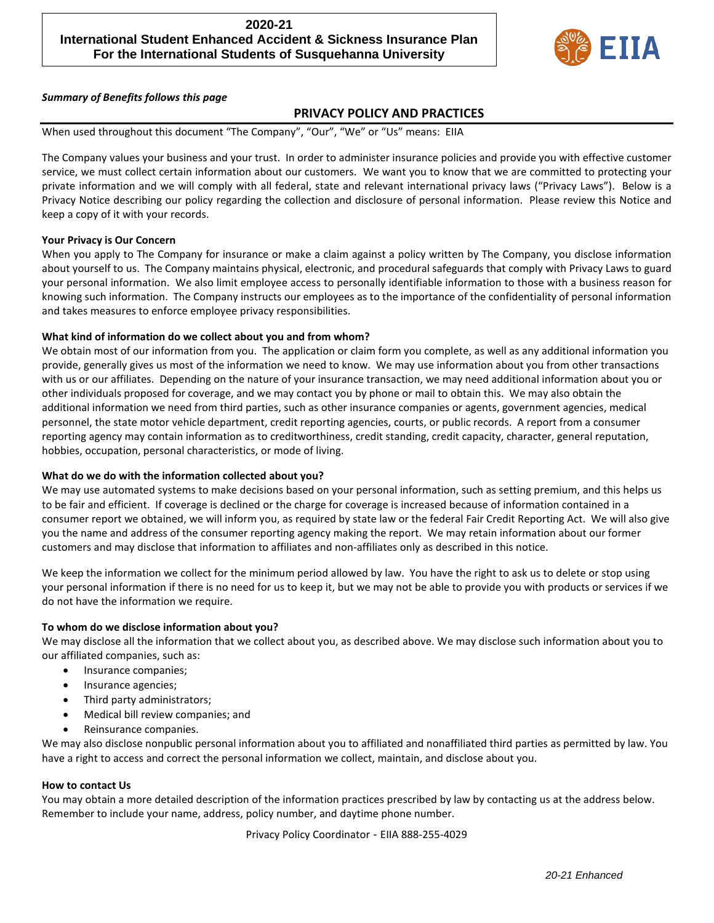# **2020-21 International Student Enhanced Accident & Sickness Insurance Plan For the International Students of Susquehanna University**



*Summary of Benefits follows this page*

### **PRIVACY POLICY AND PRACTICES**

When used throughout this document "The Company", "Our", "We" or "Us" means: EIIA

The Company values your business and your trust. In order to administer insurance policies and provide you with effective customer service, we must collect certain information about our customers. We want you to know that we are committed to protecting your private information and we will comply with all federal, state and relevant international privacy laws ("Privacy Laws"). Below is a Privacy Notice describing our policy regarding the collection and disclosure of personal information. Please review this Notice and keep a copy of it with your records.

### **Your Privacy is Our Concern**

When you apply to The Company for insurance or make a claim against a policy written by The Company, you disclose information about yourself to us. The Company maintains physical, electronic, and procedural safeguards that comply with Privacy Laws to guard your personal information. We also limit employee access to personally identifiable information to those with a business reason for knowing such information. The Company instructs our employees as to the importance of the confidentiality of personal information and takes measures to enforce employee privacy responsibilities.

### **What kind of information do we collect about you and from whom?**

We obtain most of our information from you. The application or claim form you complete, as well as any additional information you provide, generally gives us most of the information we need to know. We may use information about you from other transactions with us or our affiliates. Depending on the nature of your insurance transaction, we may need additional information about you or other individuals proposed for coverage, and we may contact you by phone or mail to obtain this. We may also obtain the additional information we need from third parties, such as other insurance companies or agents, government agencies, medical personnel, the state motor vehicle department, credit reporting agencies, courts, or public records. A report from a consumer reporting agency may contain information as to creditworthiness, credit standing, credit capacity, character, general reputation, hobbies, occupation, personal characteristics, or mode of living.

#### **What do we do with the information collected about you?**

We may use automated systems to make decisions based on your personal information, such as setting premium, and this helps us to be fair and efficient. If coverage is declined or the charge for coverage is increased because of information contained in a consumer report we obtained, we will inform you, as required by state law or the federal Fair Credit Reporting Act. We will also give you the name and address of the consumer reporting agency making the report. We may retain information about our former customers and may disclose that information to affiliates and non-affiliates only as described in this notice.

We keep the information we collect for the minimum period allowed by law. You have the right to ask us to delete or stop using your personal information if there is no need for us to keep it, but we may not be able to provide you with products or services if we do not have the information we require.

#### **To whom do we disclose information about you?**

We may disclose all the information that we collect about you, as described above. We may disclose such information about you to our affiliated companies, such as:

- Insurance companies;
- Insurance agencies;
- Third party administrators;
- Medical bill review companies; and
- Reinsurance companies.

We may also disclose nonpublic personal information about you to affiliated and nonaffiliated third parties as permitted by law. You have a right to access and correct the personal information we collect, maintain, and disclose about you.

#### **How to contact Us**

You may obtain a more detailed description of the information practices prescribed by law by contacting us at the address below. Remember to include your name, address, policy number, and daytime phone number.

Privacy Policy Coordinator - EIIA 888-255-4029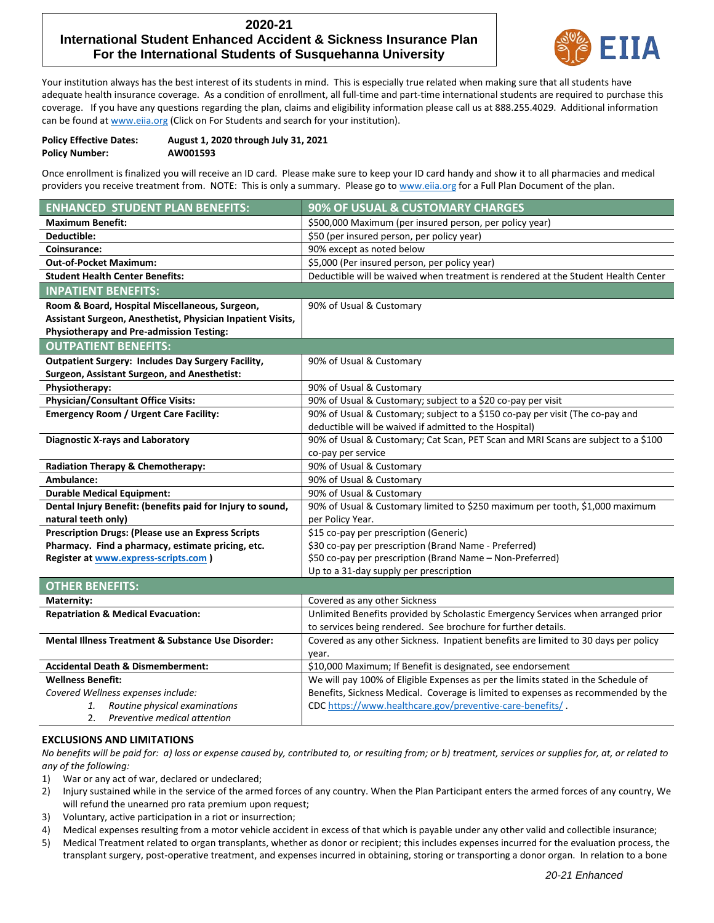## **2020-21 International Student Enhanced Accident & Sickness Insurance Plan For the International Students of Susquehanna University**



Your institution always has the best interest of its students in mind. This is especially true related when making sure that all students have adequate health insurance coverage. As a condition of enrollment, all full-time and part-time international students are required to purchase this coverage. If you have any questions regarding the plan, claims and eligibility information please call us at 888.255.4029. Additional information can be found at www.eija.org (Click on For Students and search for your institution).

| <b>Policy Effective Dates:</b> | August 1, 2020 through July 31, 2021 |
|--------------------------------|--------------------------------------|
| <b>Policy Number:</b>          | AW001593                             |

Once enrollment is finalized you will receive an ID card. Please make sure to keep your ID card handy and show it to all pharmacies and medical providers you receive treatment from. NOTE: This is only a summary. Please go t[o www.eiia.org](http://www.eiia.org/) for a Full Plan Document of the plan.

| <b>ENHANCED STUDENT PLAN BENEFITS:</b>                        | 90% OF USUAL & CUSTOMARY CHARGES                                                    |
|---------------------------------------------------------------|-------------------------------------------------------------------------------------|
| <b>Maximum Benefit:</b>                                       | \$500,000 Maximum (per insured person, per policy year)                             |
| Deductible:                                                   | \$50 (per insured person, per policy year)                                          |
| Coinsurance:                                                  | 90% except as noted below                                                           |
| <b>Out-of-Pocket Maximum:</b>                                 | \$5,000 (Per insured person, per policy year)                                       |
| <b>Student Health Center Benefits:</b>                        | Deductible will be waived when treatment is rendered at the Student Health Center   |
| <b>INPATIENT BENEFITS:</b>                                    |                                                                                     |
| Room & Board, Hospital Miscellaneous, Surgeon,                | 90% of Usual & Customary                                                            |
| Assistant Surgeon, Anesthetist, Physician Inpatient Visits,   |                                                                                     |
| <b>Physiotherapy and Pre-admission Testing:</b>               |                                                                                     |
| <b>OUTPATIENT BENEFITS:</b>                                   |                                                                                     |
| <b>Outpatient Surgery: Includes Day Surgery Facility,</b>     | 90% of Usual & Customary                                                            |
| Surgeon, Assistant Surgeon, and Anesthetist:                  |                                                                                     |
| Physiotherapy:                                                | 90% of Usual & Customary                                                            |
| Physician/Consultant Office Visits:                           | 90% of Usual & Customary; subject to a \$20 co-pay per visit                        |
| <b>Emergency Room / Urgent Care Facility:</b>                 | 90% of Usual & Customary; subject to a \$150 co-pay per visit (The co-pay and       |
|                                                               | deductible will be waived if admitted to the Hospital)                              |
| <b>Diagnostic X-rays and Laboratory</b>                       | 90% of Usual & Customary; Cat Scan, PET Scan and MRI Scans are subject to a \$100   |
|                                                               | co-pay per service                                                                  |
| Radiation Therapy & Chemotherapy:                             | 90% of Usual & Customary                                                            |
| Ambulance:                                                    | 90% of Usual & Customary                                                            |
| <b>Durable Medical Equipment:</b>                             | 90% of Usual & Customary                                                            |
| Dental Injury Benefit: (benefits paid for Injury to sound,    | 90% of Usual & Customary limited to \$250 maximum per tooth, \$1,000 maximum        |
| natural teeth only)                                           | per Policy Year.                                                                    |
| <b>Prescription Drugs: (Please use an Express Scripts</b>     | \$15 co-pay per prescription (Generic)                                              |
| Pharmacy. Find a pharmacy, estimate pricing, etc.             | \$30 co-pay per prescription (Brand Name - Preferred)                               |
| Register at www.express-scripts.com )                         | \$50 co-pay per prescription (Brand Name - Non-Preferred)                           |
|                                                               | Up to a 31-day supply per prescription                                              |
| <b>OTHER BENEFITS:</b>                                        |                                                                                     |
| Maternity:                                                    | Covered as any other Sickness                                                       |
| <b>Repatriation &amp; Medical Evacuation:</b>                 | Unlimited Benefits provided by Scholastic Emergency Services when arranged prior    |
|                                                               | to services being rendered. See brochure for further details.                       |
| <b>Mental Illness Treatment &amp; Substance Use Disorder:</b> | Covered as any other Sickness. Inpatient benefits are limited to 30 days per policy |
|                                                               | year.                                                                               |
| <b>Accidental Death &amp; Dismemberment:</b>                  | \$10,000 Maximum; If Benefit is designated, see endorsement                         |
| <b>Wellness Benefit:</b>                                      | We will pay 100% of Eligible Expenses as per the limits stated in the Schedule of   |
| Covered Wellness expenses include:                            | Benefits, Sickness Medical. Coverage is limited to expenses as recommended by the   |
| Routine physical examinations<br>1.                           | CDC https://www.healthcare.gov/preventive-care-benefits/.                           |

2. *Preventive medical attention*

#### **EXCLUSIONS AND LIMITATIONS**

*No benefits will be paid for: a) loss or expense caused by, contributed to, or resulting from; or b) treatment, services or supplies for, at, or related to any of the following:*

- 1) War or any act of war, declared or undeclared;
- 2) Injury sustained while in the service of the armed forces of any country. When the Plan Participant enters the armed forces of any country, We will refund the unearned pro rata premium upon request;
- 3) Voluntary, active participation in a riot or insurrection;
- 4) Medical expenses resulting from a motor vehicle accident in excess of that which is payable under any other valid and collectible insurance;
- 5) Medical Treatment related to organ transplants, whether as donor or recipient; this includes expenses incurred for the evaluation process, the transplant surgery, post-operative treatment, and expenses incurred in obtaining, storing or transporting a donor organ. In relation to a bone